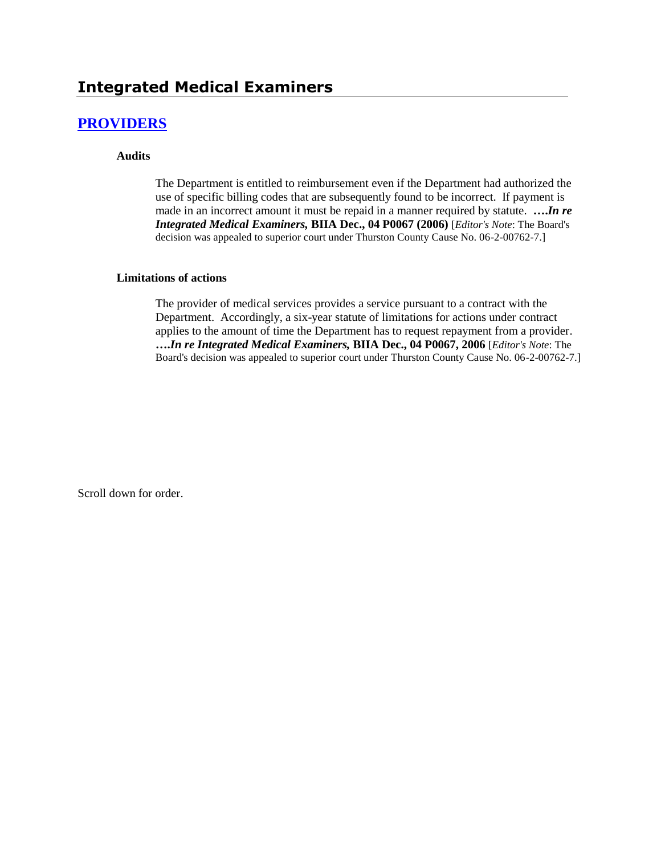## **Integrated Medical Examiners**

### **[PROVIDERS](http://www.biia.wa.gov/SDSubjectIndex.html#PROVIDERS)**

#### **Audits**

The Department is entitled to reimbursement even if the Department had authorized the use of specific billing codes that are subsequently found to be incorrect. If payment is made in an incorrect amount it must be repaid in a manner required by statute. **….***In re Integrated Medical Examiners,* **BIIA Dec., 04 P0067 (2006)** [*Editor's Note*: The Board's decision was appealed to superior court under Thurston County Cause No. 06-2-00762-7.]

#### **Limitations of actions**

The provider of medical services provides a service pursuant to a contract with the Department. Accordingly, a six-year statute of limitations for actions under contract applies to the amount of time the Department has to request repayment from a provider. **….***In re Integrated Medical Examiners,* **BIIA Dec., 04 P0067, 2006** [*Editor's Note*: The Board's decision was appealed to superior court under Thurston County Cause No. 06-2-00762-7.]

Scroll down for order.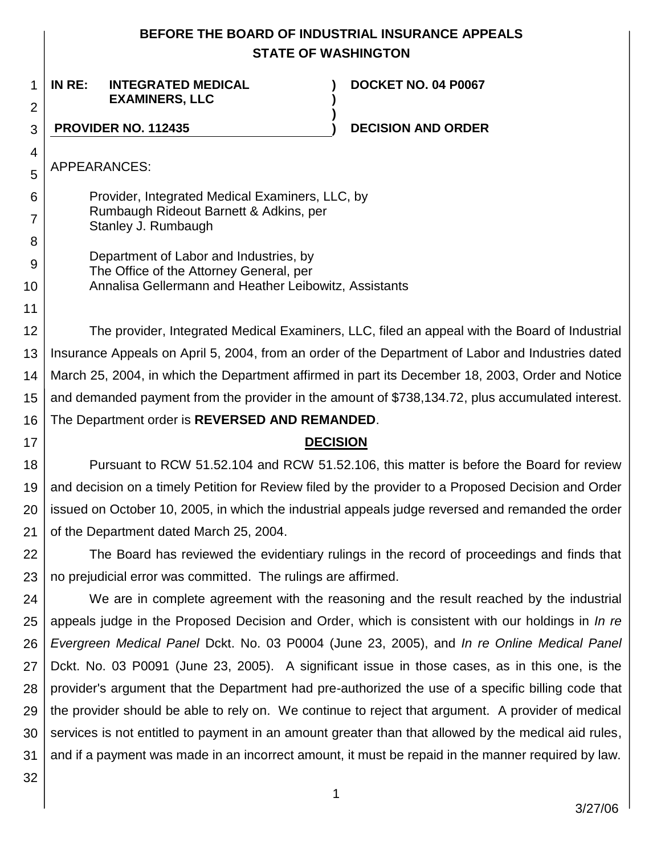### **BEFORE THE BOARD OF INDUSTRIAL INSURANCE APPEALS STATE OF WASHINGTON**

**) )**

**)**

1 2 **IN RE: INTEGRATED MEDICAL EXAMINERS, LLC**

**DOCKET NO. 04 P0067**

3

**PROVIDER NO. 112435 ) DECISION AND ORDER**

APPEARANCES:

4

5

6

7

8

9

10

11

17

Provider, Integrated Medical Examiners, LLC, by Rumbaugh Rideout Barnett & Adkins, per Stanley J. Rumbaugh

Department of Labor and Industries, by The Office of the Attorney General, per Annalisa Gellermann and Heather Leibowitz, Assistants

12 13 14 15 16 The provider, Integrated Medical Examiners, LLC, filed an appeal with the Board of Industrial Insurance Appeals on April 5, 2004, from an order of the Department of Labor and Industries dated March 25, 2004, in which the Department affirmed in part its December 18, 2003, Order and Notice and demanded payment from the provider in the amount of \$738,134.72, plus accumulated interest. The Department order is **REVERSED AND REMANDED**.

#### **DECISION**

18 19 20 21 Pursuant to RCW 51.52.104 and RCW 51.52.106, this matter is before the Board for review and decision on a timely Petition for Review filed by the provider to a Proposed Decision and Order issued on October 10, 2005, in which the industrial appeals judge reversed and remanded the order of the Department dated March 25, 2004.

22 23 The Board has reviewed the evidentiary rulings in the record of proceedings and finds that no prejudicial error was committed. The rulings are affirmed.

24 25 26 27 28 29 30 31 We are in complete agreement with the reasoning and the result reached by the industrial appeals judge in the Proposed Decision and Order, which is consistent with our holdings in *In re Evergreen Medical Panel* Dckt. No. 03 P0004 (June 23, 2005), and *In re Online Medical Panel*  Dckt. No. 03 P0091 (June 23, 2005). A significant issue in those cases, as in this one, is the provider's argument that the Department had pre-authorized the use of a specific billing code that the provider should be able to rely on. We continue to reject that argument. A provider of medical services is not entitled to payment in an amount greater than that allowed by the medical aid rules, and if a payment was made in an incorrect amount, it must be repaid in the manner required by law.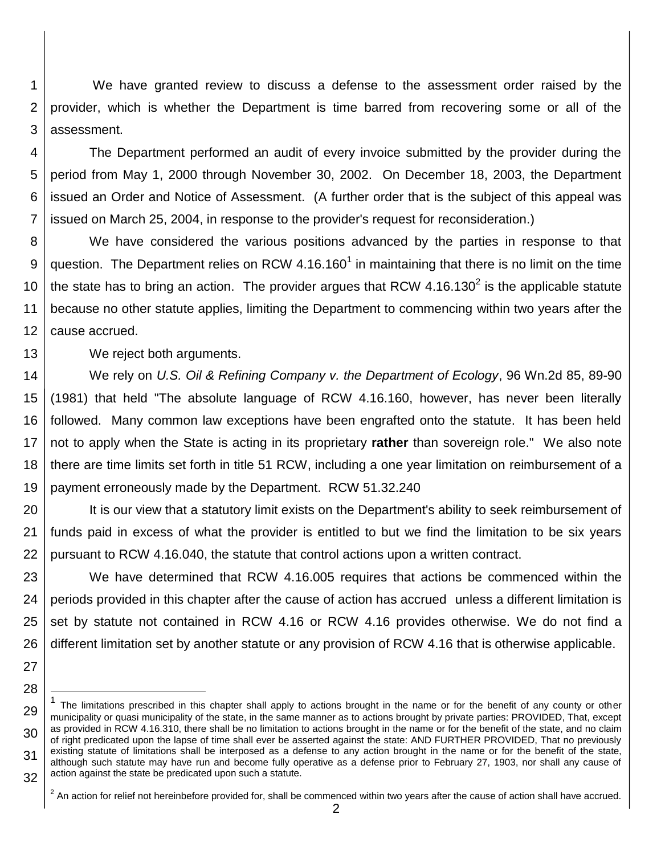1 2 3 We have granted review to discuss a defense to the assessment order raised by the provider, which is whether the Department is time barred from recovering some or all of the assessment.

4 5 6 7 The Department performed an audit of every invoice submitted by the provider during the period from May 1, 2000 through November 30, 2002. On December 18, 2003, the Department issued an Order and Notice of Assessment. (A further order that is the subject of this appeal was issued on March 25, 2004, in response to the provider's request for reconsideration.)

8 9 10 11 12 We have considered the various positions advanced by the parties in response to that question. The Department relies on RCW 4.16.160<sup>1</sup> in maintaining that there is no limit on the time the state has to bring an action. The provider argues that RCW 4.16.130<sup>2</sup> is the applicable statute because no other statute applies, limiting the Department to commencing within two years after the cause accrued.

We reject both arguments.

14 15 16 17 18 19 We rely on *U.S. Oil & Refining Company v. the Department of Ecology*, 96 Wn.2d 85, 89-90 (1981) that held "The absolute language of RCW 4.16.160, however, has never been literally followed. Many common law exceptions have been engrafted onto the statute. It has been held not to apply when the State is acting in its proprietary **rather** than sovereign role." We also note there are time limits set forth in title 51 RCW, including a one year limitation on reimbursement of a payment erroneously made by the Department. RCW 51.32.240

20 21 22 It is our view that a statutory limit exists on the Department's ability to seek reimbursement of funds paid in excess of what the provider is entitled to but we find the limitation to be six years pursuant to RCW 4.16.040, the statute that control actions upon a written contract.

23 24 25 26 We have determined that RCW 4.16.005 requires that actions be commenced within the periods provided in this chapter after the cause of action has accrued unless a different limitation is set by statute not contained in RCW 4.16 or RCW 4.16 provides otherwise. We do not find a different limitation set by another statute or any provision of RCW 4.16 that is otherwise applicable.

l

<sup>27</sup> 28

<sup>29</sup> 30 31 32 1 The limitations prescribed in this chapter shall apply to actions brought in the name or for the benefit of any county or other municipality or quasi municipality of the state, in the same manner as to actions brought by private parties: PROVIDED, That, except as provided in RCW [4.16.310,](http://apps.leg.wa.gov/RCW/default.aspx?cite=4.16.310) there shall be no limitation to actions brought in the name or for the benefit of the state, and no claim of right predicated upon the lapse of time shall ever be asserted against the state: AND FURTHER PROVIDED, That no previously existing statute of limitations shall be interposed as a defense to any action brought in the name or for the benefit of the state, although such statute may have run and become fully operative as a defense prior to February 27, 1903, nor shall any cause of action against the state be predicated upon such a statute.

 $^2$  An action for relief not hereinbefore provided for, shall be commenced within two years after the cause of action shall have accrued.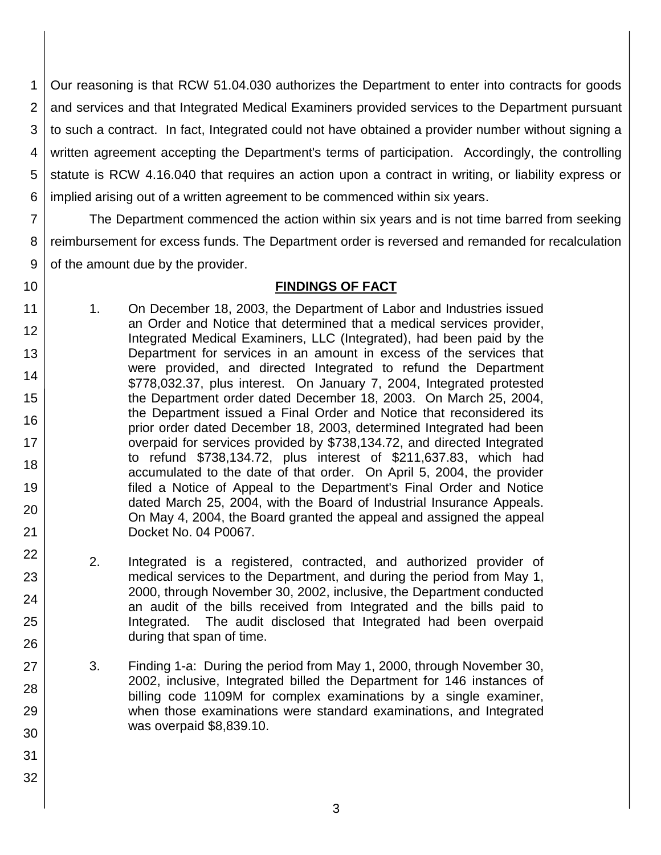1 2 3 4 5 6 Our reasoning is that RCW 51.04.030 authorizes the Department to enter into contracts for goods and services and that Integrated Medical Examiners provided services to the Department pursuant to such a contract. In fact, Integrated could not have obtained a provider number without signing a written agreement accepting the Department's terms of participation. Accordingly, the controlling statute is RCW 4.16.040 that requires an action upon a contract in writing, or liability express or implied arising out of a written agreement to be commenced within six years.

7 8 9 The Department commenced the action within six years and is not time barred from seeking reimbursement for excess funds. The Department order is reversed and remanded for recalculation of the amount due by the provider.

# 10

11

17

19

20

21

22

23

24

25

26

27

28

29

30

31

32

#### **FINDINGS OF FACT**

- 12 13 14 15 16 18 1. On December 18, 2003, the Department of Labor and Industries issued an Order and Notice that determined that a medical services provider, Integrated Medical Examiners, LLC (Integrated), had been paid by the Department for services in an amount in excess of the services that were provided, and directed Integrated to refund the Department \$778,032.37, plus interest. On January 7, 2004, Integrated protested the Department order dated December 18, 2003. On March 25, 2004, the Department issued a Final Order and Notice that reconsidered its prior order dated December 18, 2003, determined Integrated had been overpaid for services provided by \$738,134.72, and directed Integrated to refund \$738,134.72, plus interest of \$211,637.83, which had accumulated to the date of that order. On April 5, 2004, the provider filed a Notice of Appeal to the Department's Final Order and Notice dated March 25, 2004, with the Board of Industrial Insurance Appeals. On May 4, 2004, the Board granted the appeal and assigned the appeal Docket No. 04 P0067.
	- 2. Integrated is a registered, contracted, and authorized provider of medical services to the Department, and during the period from May 1, 2000, through November 30, 2002, inclusive, the Department conducted an audit of the bills received from Integrated and the bills paid to Integrated. The audit disclosed that Integrated had been overpaid during that span of time.
	- 3. Finding 1-a: During the period from May 1, 2000, through November 30, 2002, inclusive, Integrated billed the Department for 146 instances of billing code 1109M for complex examinations by a single examiner, when those examinations were standard examinations, and Integrated was overpaid \$8,839.10.
		- 3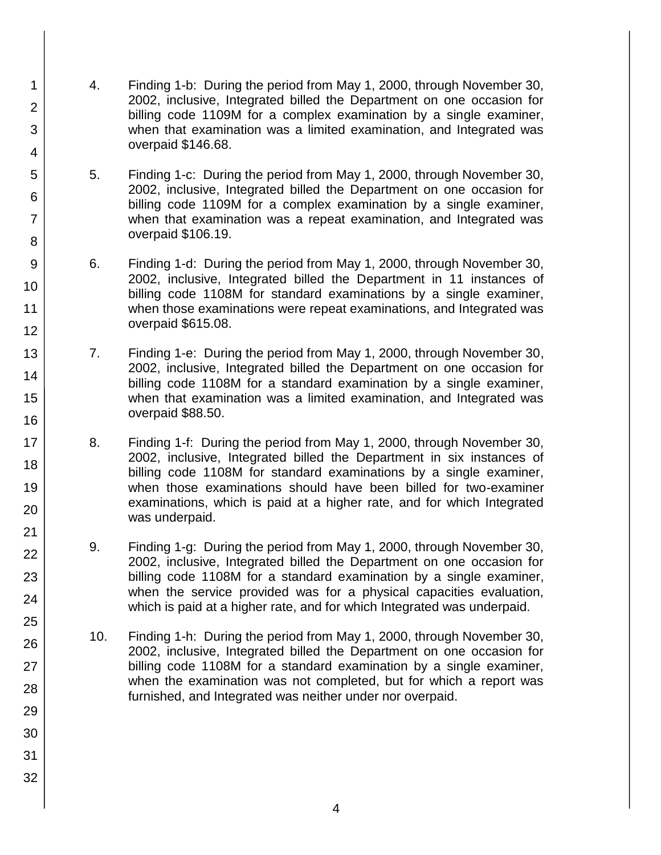- 4. Finding 1-b: During the period from May 1, 2000, through November 30, 2002, inclusive, Integrated billed the Department on one occasion for billing code 1109M for a complex examination by a single examiner, when that examination was a limited examination, and Integrated was overpaid \$146.68.
- 5. Finding 1-c: During the period from May 1, 2000, through November 30, 2002, inclusive, Integrated billed the Department on one occasion for billing code 1109M for a complex examination by a single examiner, when that examination was a repeat examination, and Integrated was overpaid \$106.19.
- 6. Finding 1-d: During the period from May 1, 2000, through November 30, 2002, inclusive, Integrated billed the Department in 11 instances of billing code 1108M for standard examinations by a single examiner, when those examinations were repeat examinations, and Integrated was overpaid \$615.08.
- 7. Finding 1-e: During the period from May 1, 2000, through November 30, 2002, inclusive, Integrated billed the Department on one occasion for billing code 1108M for a standard examination by a single examiner, when that examination was a limited examination, and Integrated was overpaid \$88.50.
- 8. Finding 1-f: During the period from May 1, 2000, through November 30, 2002, inclusive, Integrated billed the Department in six instances of billing code 1108M for standard examinations by a single examiner, when those examinations should have been billed for two-examiner examinations, which is paid at a higher rate, and for which Integrated was underpaid.
- 9. Finding 1-g: During the period from May 1, 2000, through November 30, 2002, inclusive, Integrated billed the Department on one occasion for billing code 1108M for a standard examination by a single examiner, when the service provided was for a physical capacities evaluation, which is paid at a higher rate, and for which Integrated was underpaid.
- 10. Finding 1-h: During the period from May 1, 2000, through November 30, 2002, inclusive, Integrated billed the Department on one occasion for billing code 1108M for a standard examination by a single examiner, when the examination was not completed, but for which a report was furnished, and Integrated was neither under nor overpaid.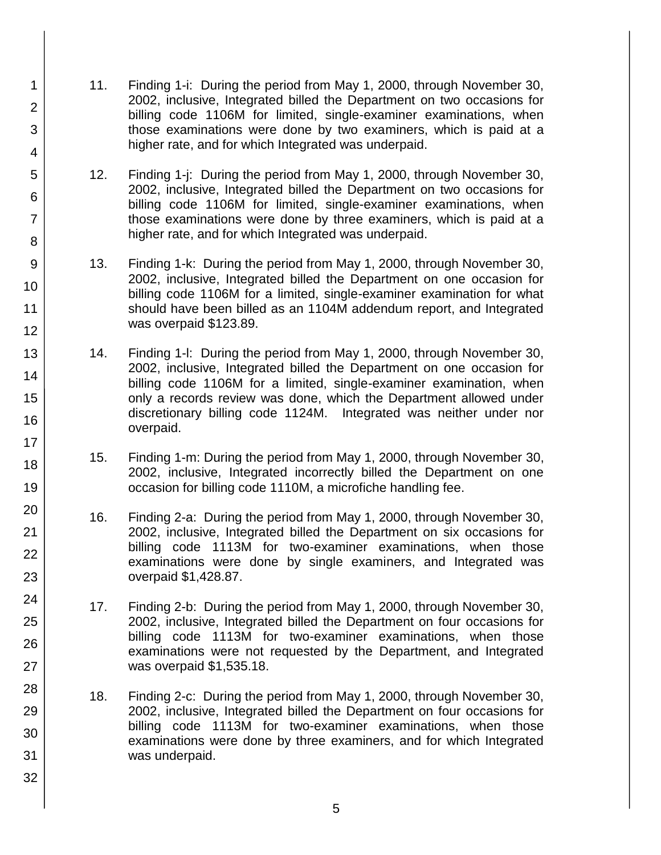- 11. Finding 1-i: During the period from May 1, 2000, through November 30, 2002, inclusive, Integrated billed the Department on two occasions for billing code 1106M for limited, single-examiner examinations, when those examinations were done by two examiners, which is paid at a higher rate, and for which Integrated was underpaid.
- 12. Finding 1-j: During the period from May 1, 2000, through November 30, 2002, inclusive, Integrated billed the Department on two occasions for billing code 1106M for limited, single-examiner examinations, when those examinations were done by three examiners, which is paid at a higher rate, and for which Integrated was underpaid.
- 13. Finding 1-k: During the period from May 1, 2000, through November 30, 2002, inclusive, Integrated billed the Department on one occasion for billing code 1106M for a limited, single-examiner examination for what should have been billed as an 1104M addendum report, and Integrated was overpaid \$123.89.
- 14. Finding 1-l: During the period from May 1, 2000, through November 30, 2002, inclusive, Integrated billed the Department on one occasion for billing code 1106M for a limited, single-examiner examination, when only a records review was done, which the Department allowed under discretionary billing code 1124M. Integrated was neither under nor overpaid.
- 15. Finding 1-m: During the period from May 1, 2000, through November 30, 2002, inclusive, Integrated incorrectly billed the Department on one occasion for billing code 1110M, a microfiche handling fee.
- 16. Finding 2-a: During the period from May 1, 2000, through November 30, 2002, inclusive, Integrated billed the Department on six occasions for billing code 1113M for two-examiner examinations, when those examinations were done by single examiners, and Integrated was overpaid \$1,428.87.
- 17. Finding 2-b: During the period from May 1, 2000, through November 30, 2002, inclusive, Integrated billed the Department on four occasions for billing code 1113M for two-examiner examinations, when those examinations were not requested by the Department, and Integrated was overpaid \$1,535.18.
- 18. Finding 2-c: During the period from May 1, 2000, through November 30, 2002, inclusive, Integrated billed the Department on four occasions for billing code 1113M for two-examiner examinations, when those examinations were done by three examiners, and for which Integrated was underpaid.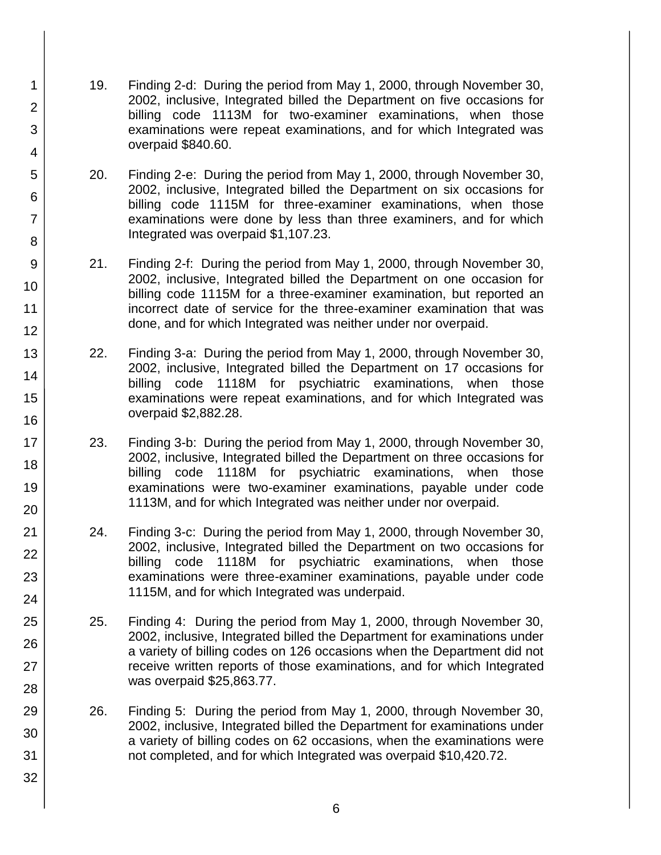19. Finding 2-d: During the period from May 1, 2000, through November 30, 2002, inclusive, Integrated billed the Department on five occasions for billing code 1113M for two-examiner examinations, when those examinations were repeat examinations, and for which Integrated was overpaid \$840.60.

1

2

3

4

5

6

7

8

9

10

11 12

13

14

15

16

17

18

19

20

21

22

23

24

25

26

27

28

29

30

31

- 20. Finding 2-e: During the period from May 1, 2000, through November 30, 2002, inclusive, Integrated billed the Department on six occasions for billing code 1115M for three-examiner examinations, when those examinations were done by less than three examiners, and for which Integrated was overpaid \$1,107.23.
- 21. Finding 2-f: During the period from May 1, 2000, through November 30, 2002, inclusive, Integrated billed the Department on one occasion for billing code 1115M for a three-examiner examination, but reported an incorrect date of service for the three-examiner examination that was done, and for which Integrated was neither under nor overpaid.
- 22. Finding 3-a: During the period from May 1, 2000, through November 30, 2002, inclusive, Integrated billed the Department on 17 occasions for billing code 1118M for psychiatric examinations, when those examinations were repeat examinations, and for which Integrated was overpaid \$2,882.28.
- 23. Finding 3-b: During the period from May 1, 2000, through November 30, 2002, inclusive, Integrated billed the Department on three occasions for billing code 1118M for psychiatric examinations, when those examinations were two-examiner examinations, payable under code 1113M, and for which Integrated was neither under nor overpaid.
- 24. Finding 3-c: During the period from May 1, 2000, through November 30, 2002, inclusive, Integrated billed the Department on two occasions for billing code 1118M for psychiatric examinations, when those examinations were three-examiner examinations, payable under code 1115M, and for which Integrated was underpaid.
- 25. Finding 4: During the period from May 1, 2000, through November 30, 2002, inclusive, Integrated billed the Department for examinations under a variety of billing codes on 126 occasions when the Department did not receive written reports of those examinations, and for which Integrated was overpaid \$25,863.77.
- 26. Finding 5: During the period from May 1, 2000, through November 30, 2002, inclusive, Integrated billed the Department for examinations under a variety of billing codes on 62 occasions, when the examinations were not completed, and for which Integrated was overpaid \$10,420.72.
	- 6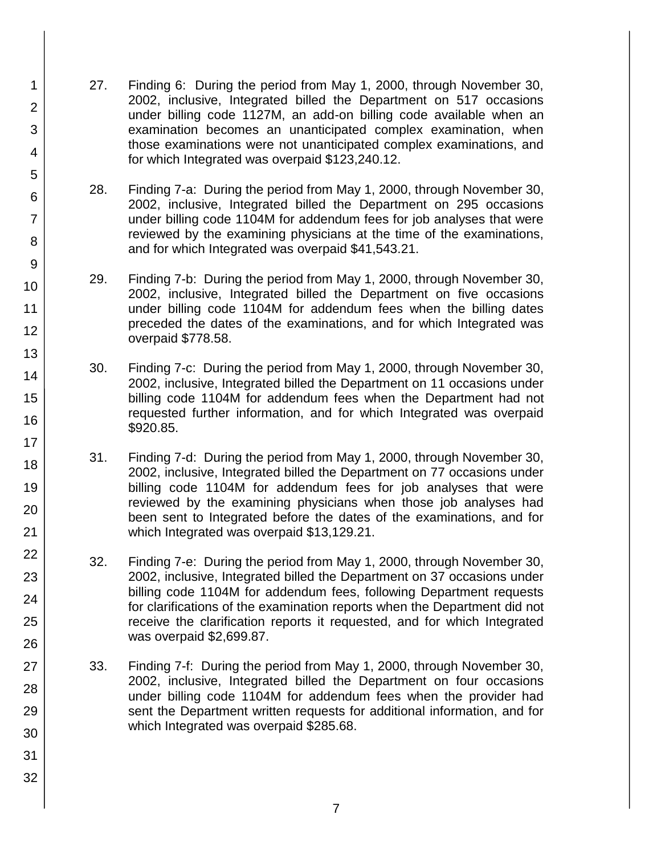- 27. Finding 6: During the period from May 1, 2000, through November 30, 2002, inclusive, Integrated billed the Department on 517 occasions under billing code 1127M, an add-on billing code available when an examination becomes an unanticipated complex examination, when those examinations were not unanticipated complex examinations, and for which Integrated was overpaid \$123,240.12.
- 28. Finding 7-a: During the period from May 1, 2000, through November 30, 2002, inclusive, Integrated billed the Department on 295 occasions under billing code 1104M for addendum fees for job analyses that were reviewed by the examining physicians at the time of the examinations, and for which Integrated was overpaid \$41,543.21.
- 29. Finding 7-b: During the period from May 1, 2000, through November 30, 2002, inclusive, Integrated billed the Department on five occasions under billing code 1104M for addendum fees when the billing dates preceded the dates of the examinations, and for which Integrated was overpaid \$778.58.
- 30. Finding 7-c: During the period from May 1, 2000, through November 30, 2002, inclusive, Integrated billed the Department on 11 occasions under billing code 1104M for addendum fees when the Department had not requested further information, and for which Integrated was overpaid \$920.85.
- 31. Finding 7-d: During the period from May 1, 2000, through November 30, 2002, inclusive, Integrated billed the Department on 77 occasions under billing code 1104M for addendum fees for job analyses that were reviewed by the examining physicians when those job analyses had been sent to Integrated before the dates of the examinations, and for which Integrated was overpaid \$13,129.21.
- 32. Finding 7-e: During the period from May 1, 2000, through November 30, 2002, inclusive, Integrated billed the Department on 37 occasions under billing code 1104M for addendum fees, following Department requests for clarifications of the examination reports when the Department did not receive the clarification reports it requested, and for which Integrated was overpaid \$2,699.87.
- 33. Finding 7-f: During the period from May 1, 2000, through November 30, 2002, inclusive, Integrated billed the Department on four occasions under billing code 1104M for addendum fees when the provider had sent the Department written requests for additional information, and for which Integrated was overpaid \$285.68.
- 4 5 6 7 8 9 10 11 12 13 14 15 16 17 18 19 20 21 22 23 24 25 26 27 28 29 30 31

1

2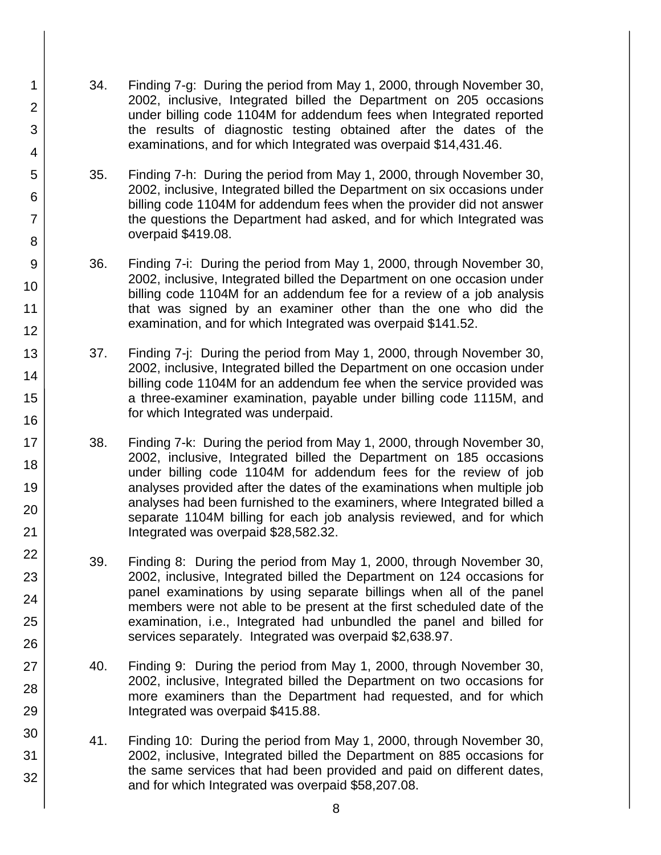34. Finding 7-g: During the period from May 1, 2000, through November 30, 2002, inclusive, Integrated billed the Department on 205 occasions under billing code 1104M for addendum fees when Integrated reported the results of diagnostic testing obtained after the dates of the examinations, and for which Integrated was overpaid \$14,431.46.

1

2

3

4

5

6

7

8

9

10

11

12

13

14

15

16

17

18

19

20

21

22

23

24

25

26

27

28

29

30

31

- 35. Finding 7-h: During the period from May 1, 2000, through November 30, 2002, inclusive, Integrated billed the Department on six occasions under billing code 1104M for addendum fees when the provider did not answer the questions the Department had asked, and for which Integrated was overpaid \$419.08.
- 36. Finding 7-i: During the period from May 1, 2000, through November 30, 2002, inclusive, Integrated billed the Department on one occasion under billing code 1104M for an addendum fee for a review of a job analysis that was signed by an examiner other than the one who did the examination, and for which Integrated was overpaid \$141.52.
- 37. Finding 7-j: During the period from May 1, 2000, through November 30, 2002, inclusive, Integrated billed the Department on one occasion under billing code 1104M for an addendum fee when the service provided was a three-examiner examination, payable under billing code 1115M, and for which Integrated was underpaid.
- 38. Finding 7-k: During the period from May 1, 2000, through November 30, 2002, inclusive, Integrated billed the Department on 185 occasions under billing code 1104M for addendum fees for the review of job analyses provided after the dates of the examinations when multiple job analyses had been furnished to the examiners, where Integrated billed a separate 1104M billing for each job analysis reviewed, and for which Integrated was overpaid \$28,582.32.
- 39. Finding 8: During the period from May 1, 2000, through November 30, 2002, inclusive, Integrated billed the Department on 124 occasions for panel examinations by using separate billings when all of the panel members were not able to be present at the first scheduled date of the examination, i.e., Integrated had unbundled the panel and billed for services separately. Integrated was overpaid \$2,638.97.
- 40. Finding 9: During the period from May 1, 2000, through November 30, 2002, inclusive, Integrated billed the Department on two occasions for more examiners than the Department had requested, and for which Integrated was overpaid \$415.88.
- 41. Finding 10: During the period from May 1, 2000, through November 30, 2002, inclusive, Integrated billed the Department on 885 occasions for the same services that had been provided and paid on different dates, and for which Integrated was overpaid \$58,207.08.
	- 8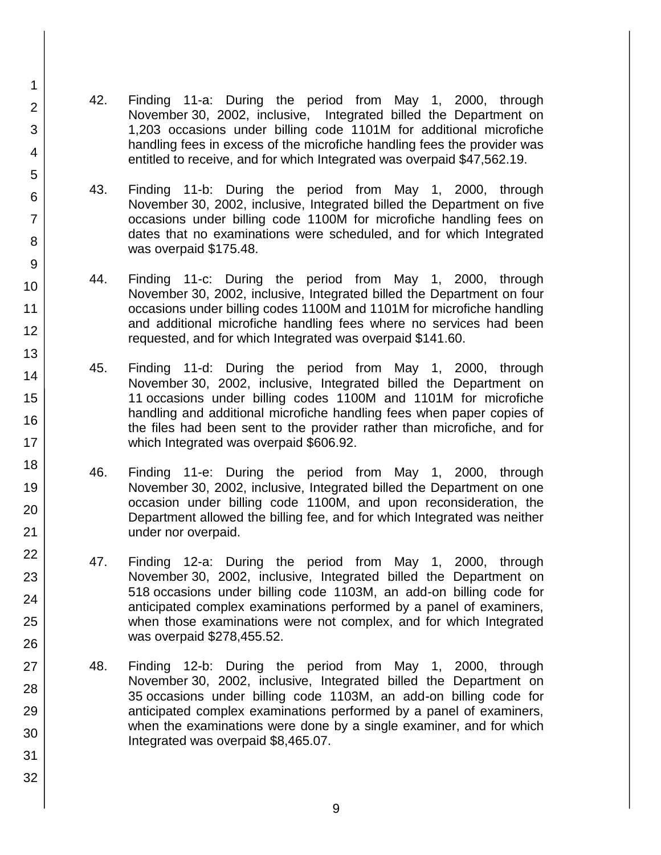- 42. Finding 11-a: During the period from May 1, 2000, through November 30, 2002, inclusive, Integrated billed the Department on 1,203 occasions under billing code 1101M for additional microfiche handling fees in excess of the microfiche handling fees the provider was entitled to receive, and for which Integrated was overpaid \$47,562.19.
- 43. Finding 11-b: During the period from May 1, 2000, through November 30, 2002, inclusive, Integrated billed the Department on five occasions under billing code 1100M for microfiche handling fees on dates that no examinations were scheduled, and for which Integrated was overpaid \$175.48.
- 44. Finding 11-c: During the period from May 1, 2000, through November 30, 2002, inclusive, Integrated billed the Department on four occasions under billing codes 1100M and 1101M for microfiche handling and additional microfiche handling fees where no services had been requested, and for which Integrated was overpaid \$141.60.
- 45. Finding 11-d: During the period from May 1, 2000, through November 30, 2002, inclusive, Integrated billed the Department on 11 occasions under billing codes 1100M and 1101M for microfiche handling and additional microfiche handling fees when paper copies of the files had been sent to the provider rather than microfiche, and for which Integrated was overpaid \$606.92.
- 46. Finding 11-e: During the period from May 1, 2000, through November 30, 2002, inclusive, Integrated billed the Department on one occasion under billing code 1100M, and upon reconsideration, the Department allowed the billing fee, and for which Integrated was neither under nor overpaid.
- 47. Finding 12-a: During the period from May 1, 2000, through November 30, 2002, inclusive, Integrated billed the Department on 518 occasions under billing code 1103M, an add-on billing code for anticipated complex examinations performed by a panel of examiners, when those examinations were not complex, and for which Integrated was overpaid \$278,455.52.
- 48. Finding 12-b: During the period from May 1, 2000, through November 30, 2002, inclusive, Integrated billed the Department on 35 occasions under billing code 1103M, an add-on billing code for anticipated complex examinations performed by a panel of examiners, when the examinations were done by a single examiner, and for which Integrated was overpaid \$8,465.07.
- 6 7 8 9 10 11 12 13 14 15 16 17 18 19 20 21 22 23 24 25 26 27 28 29 30 31 32

2

3

4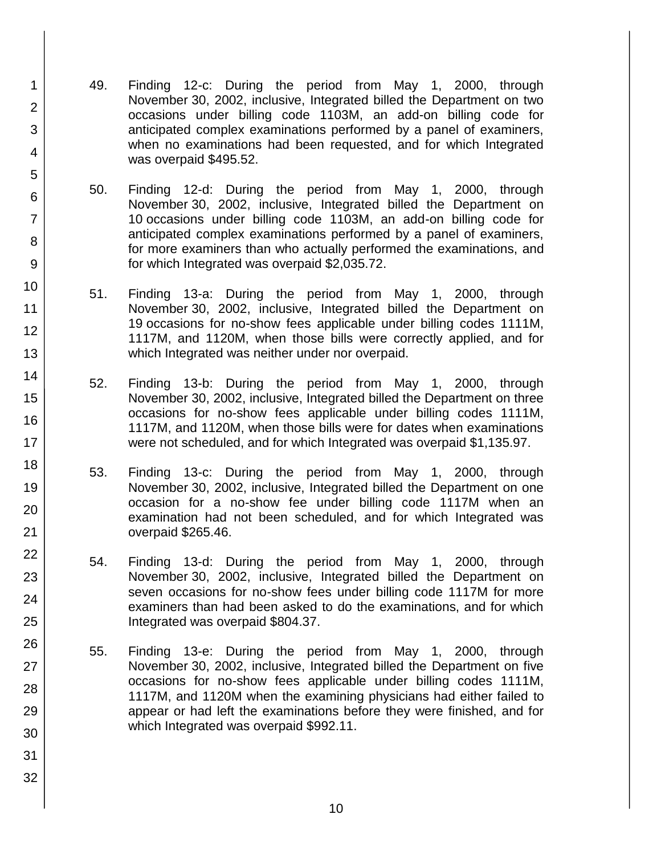49. Finding 12-c: During the period from May 1, 2000, through November 30, 2002, inclusive, Integrated billed the Department on two occasions under billing code 1103M, an add-on billing code for anticipated complex examinations performed by a panel of examiners, when no examinations had been requested, and for which Integrated was overpaid \$495.52.

1

2

3

4

5

6

7

8

9

10

11 12

13

14

15

16

17

18

19

20

21

22

23

24

25

26

27

28

29

30

31

- 50. Finding 12-d: During the period from May 1, 2000, through November 30, 2002, inclusive, Integrated billed the Department on 10 occasions under billing code 1103M, an add-on billing code for anticipated complex examinations performed by a panel of examiners, for more examiners than who actually performed the examinations, and for which Integrated was overpaid \$2,035.72.
- 51. Finding 13-a: During the period from May 1, 2000, through November 30, 2002, inclusive, Integrated billed the Department on 19 occasions for no-show fees applicable under billing codes 1111M, 1117M, and 1120M, when those bills were correctly applied, and for which Integrated was neither under nor overpaid.
- 52. Finding 13-b: During the period from May 1, 2000, through November 30, 2002, inclusive, Integrated billed the Department on three occasions for no-show fees applicable under billing codes 1111M, 1117M, and 1120M, when those bills were for dates when examinations were not scheduled, and for which Integrated was overpaid \$1,135.97.
- 53. Finding 13-c: During the period from May 1, 2000, through November 30, 2002, inclusive, Integrated billed the Department on one occasion for a no-show fee under billing code 1117M when an examination had not been scheduled, and for which Integrated was overpaid \$265.46.
- 54. Finding 13-d: During the period from May 1, 2000, through November 30, 2002, inclusive, Integrated billed the Department on seven occasions for no-show fees under billing code 1117M for more examiners than had been asked to do the examinations, and for which Integrated was overpaid \$804.37.
- 55. Finding 13-e: During the period from May 1, 2000, through November 30, 2002, inclusive, Integrated billed the Department on five occasions for no-show fees applicable under billing codes 1111M, 1117M, and 1120M when the examining physicians had either failed to appear or had left the examinations before they were finished, and for which Integrated was overpaid \$992.11.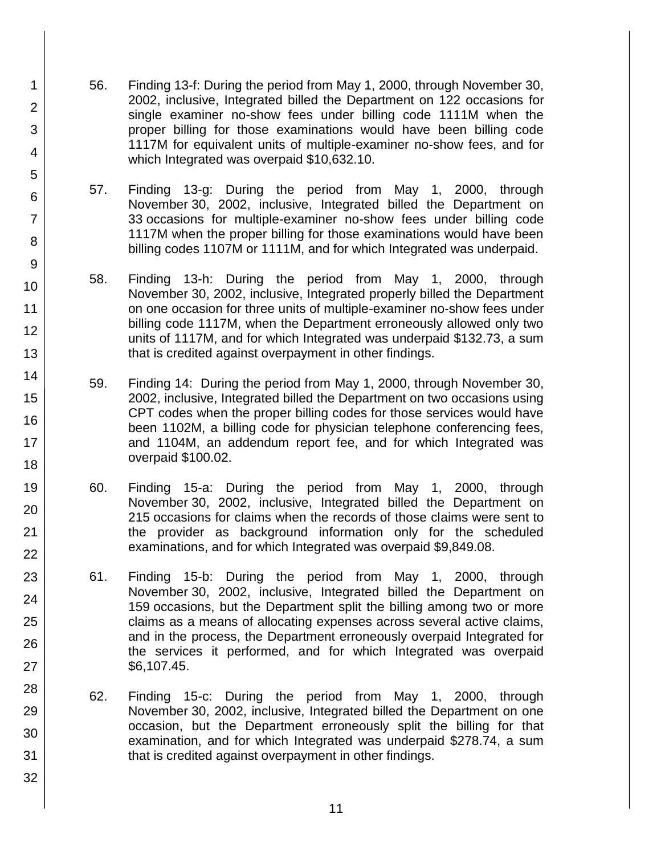56. Finding 13-f: During the period from May 1, 2000, through November 30, 2002, inclusive, Integrated billed the Department on 122 occasions for single examiner no-show fees under billing code 1111M when the proper billing for those examinations would have been billing code 1117M for equivalent units of multiple-examiner no-show fees, and for which Integrated was overpaid \$10,632.10.

1

2

3

4

5

6

7

8

9

10

11 12

13

14

15

16

17

18

19

20

21

22

23

24

25

26

27

28

29 30

31

32

- 57. Finding 13-g: During the period from May 1, 2000, through November 30, 2002, inclusive, Integrated billed the Department on 33 occasions for multiple-examiner no-show fees under billing code 1117M when the proper billing for those examinations would have been billing codes 1107M or 1111M, and for which Integrated was underpaid.
- 58. Finding 13-h: During the period from May 1, 2000, through November 30, 2002, inclusive, Integrated properly billed the Department on one occasion for three units of multiple-examiner no-show fees under billing code 1117M, when the Department erroneously allowed only two units of 1117M, and for which Integrated was underpaid \$132.73, a sum that is credited against overpayment in other findings.
- 59. Finding 14: During the period from May 1, 2000, through November 30, 2002, inclusive, Integrated billed the Department on two occasions using CPT codes when the proper billing codes for those services would have been 1102M, a billing code for physician telephone conferencing fees, and 1104M, an addendum report fee, and for which Integrated was overpaid \$100.02.
- 60. Finding 15-a: During the period from May 1, 2000, through November 30, 2002, inclusive, Integrated billed the Department on 215 occasions for claims when the records of those claims were sent to the provider as background information only for the scheduled examinations, and for which Integrated was overpaid \$9,849.08.
- 61. Finding 15-b: During the period from May 1, 2000, through November 30, 2002, inclusive, Integrated billed the Department on 159 occasions, but the Department split the billing among two or more claims as a means of allocating expenses across several active claims, and in the process, the Department erroneously overpaid Integrated for the services it performed, and for which Integrated was overpaid \$6,107.45.
- 62. Finding 15-c: During the period from May 1, 2000, through November 30, 2002, inclusive, Integrated billed the Department on one occasion, but the Department erroneously split the billing for that examination, and for which Integrated was underpaid \$278.74, a sum that is credited against overpayment in other findings.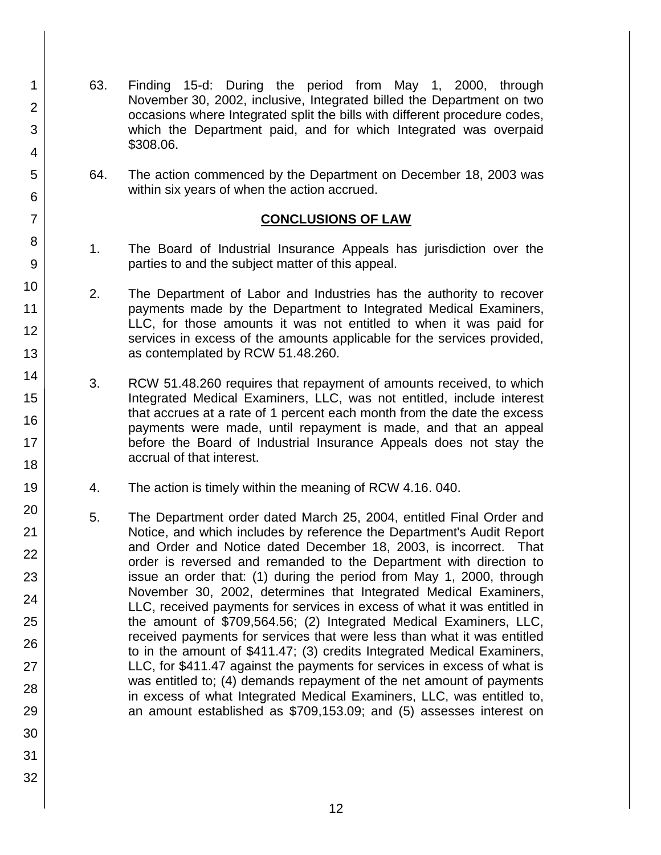- 63. Finding 15-d: During the period from May 1, 2000, through November 30, 2002, inclusive, Integrated billed the Department on two occasions where Integrated split the bills with different procedure codes, which the Department paid, and for which Integrated was overpaid \$308.06.
- 64. The action commenced by the Department on December 18, 2003 was within six years of when the action accrued.

#### **CONCLUSIONS OF LAW**

- 1. The Board of Industrial Insurance Appeals has jurisdiction over the parties to and the subject matter of this appeal.
- 2. The Department of Labor and Industries has the authority to recover payments made by the Department to Integrated Medical Examiners, LLC, for those amounts it was not entitled to when it was paid for services in excess of the amounts applicable for the services provided, as contemplated by RCW 51.48.260.
- 3. RCW 51.48.260 requires that repayment of amounts received, to which Integrated Medical Examiners, LLC, was not entitled, include interest that accrues at a rate of 1 percent each month from the date the excess payments were made, until repayment is made, and that an appeal before the Board of Industrial Insurance Appeals does not stay the accrual of that interest.
- 4. The action is timely within the meaning of RCW 4.16. 040.
- 5. The Department order dated March 25, 2004, entitled Final Order and Notice, and which includes by reference the Department's Audit Report and Order and Notice dated December 18, 2003, is incorrect. That order is reversed and remanded to the Department with direction to issue an order that: (1) during the period from May 1, 2000, through November 30, 2002, determines that Integrated Medical Examiners, LLC, received payments for services in excess of what it was entitled in the amount of \$709,564.56; (2) Integrated Medical Examiners, LLC, received payments for services that were less than what it was entitled to in the amount of \$411.47; (3) credits Integrated Medical Examiners, LLC, for \$411.47 against the payments for services in excess of what is was entitled to; (4) demands repayment of the net amount of payments in excess of what Integrated Medical Examiners, LLC, was entitled to, an amount established as \$709,153.09; and (5) assesses interest on

1